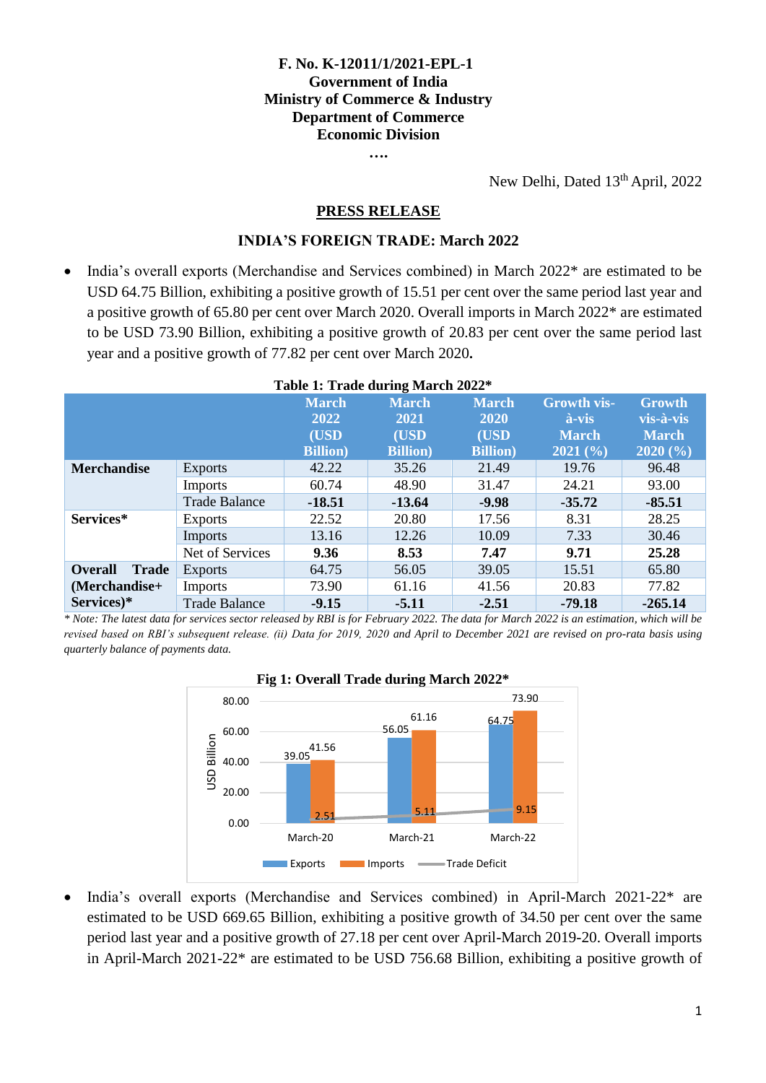# **F. No. K-12011/1/2021-EPL-1 Government of India Ministry of Commerce & Industry Department of Commerce Economic Division**

**….**

New Delhi, Dated 13<sup>th</sup> April, 2022

### **PRESS RELEASE**

### **INDIA'S FOREIGN TRADE: March 2022**

 India's overall exports (Merchandise and Services combined) in March 2022\* are estimated to be USD 64.75 Billion, exhibiting a positive growth of 15.51 per cent over the same period last year and a positive growth of 65.80 per cent over March 2020. Overall imports in March 2022\* are estimated to be USD 73.90 Billion, exhibiting a positive growth of 20.83 per cent over the same period last year and a positive growth of 77.82 per cent over March 2020**.**

| <b>Table 1. Trade during March 2022</b> |                      |                  |                  |                  |                    |                       |
|-----------------------------------------|----------------------|------------------|------------------|------------------|--------------------|-----------------------|
|                                         |                      | <b>March</b>     | <b>March</b>     | <b>March</b>     | <b>Growth vis-</b> | <b>Growth</b>         |
|                                         |                      | 2022             | 2021             | 2020             | à-vis              | vis-à-vis             |
|                                         |                      | (USD             | (USD             | (USD             | <b>March</b>       | <b>March</b>          |
|                                         |                      | <b>Billion</b> ) | <b>Billion</b> ) | <b>Billion</b> ) | 2021(%)            | $2020\,(°\!\sqrt{6})$ |
| <b>Merchandise</b>                      | <b>Exports</b>       | 42.22            | 35.26            | 21.49            | 19.76              | 96.48                 |
|                                         | <b>Imports</b>       | 60.74            | 48.90            | 31.47            | 24.21              | 93.00                 |
|                                         | <b>Trade Balance</b> | $-18.51$         | $-13.64$         | $-9.98$          | $-35.72$           | $-85.51$              |
| Services*                               | <b>Exports</b>       | 22.52            | 20.80            | 17.56            | 8.31               | 28.25                 |
|                                         | Imports              | 13.16            | 12.26            | 10.09            | 7.33               | 30.46                 |
|                                         | Net of Services      | 9.36             | 8.53             | 7.47             | 9.71               | 25.28                 |
| <b>Overall</b><br><b>Trade</b>          | <b>Exports</b>       | 64.75            | 56.05            | 39.05            | 15.51              | 65.80                 |
| (Merchandise+                           | <b>Imports</b>       | 73.90            | 61.16            | 41.56            | 20.83              | 77.82                 |
| Services)*                              | <b>Trade Balance</b> | $-9.15$          | $-5.11$          | $-2.51$          | $-79.18$           | $-265.14$             |

#### **Table 1: Trade during March 2022\***

*\* Note: The latest data for services sector released by RBI is for February 2022. The data for March 2022 is an estimation, which will be revised based on RBI's subsequent release. (ii) Data for 2019, 2020 and April to December 2021 are revised on pro-rata basis using quarterly balance of payments data.*



#### **Fig 1: Overall Trade during March 2022\***

 India's overall exports (Merchandise and Services combined) in April-March 2021-22\* are estimated to be USD 669.65 Billion, exhibiting a positive growth of 34.50 per cent over the same period last year and a positive growth of 27.18 per cent over April-March 2019-20. Overall imports in April-March 2021-22\* are estimated to be USD 756.68 Billion, exhibiting a positive growth of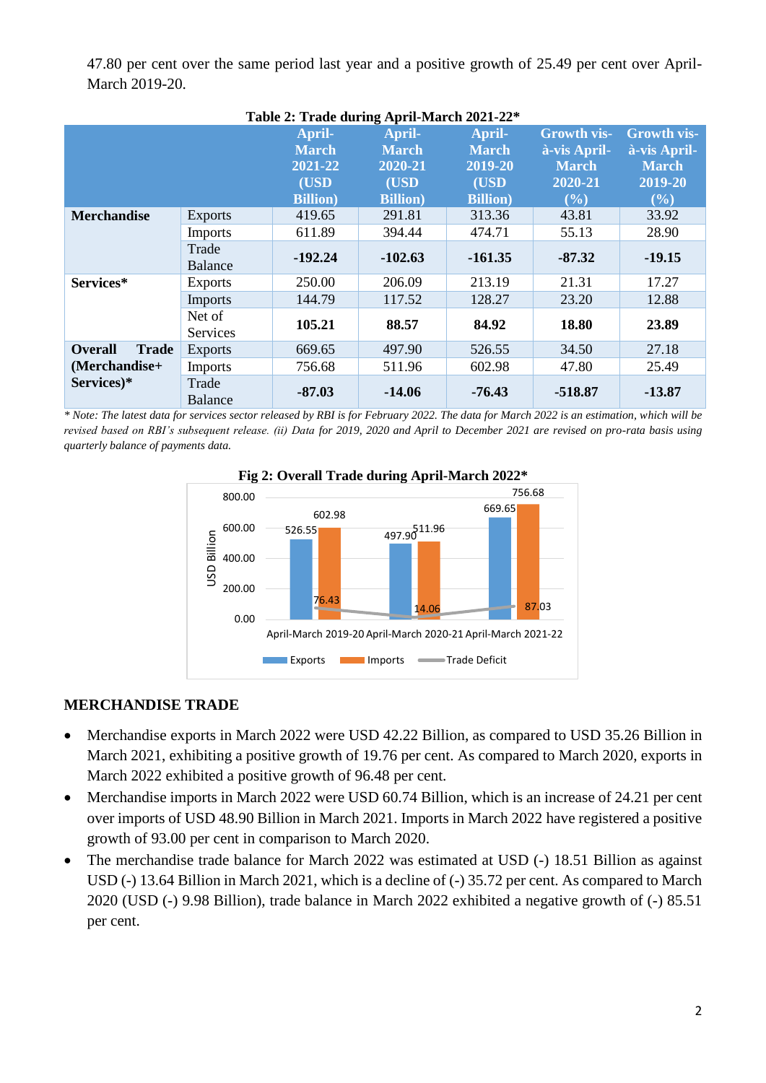47.80 per cent over the same period last year and a positive growth of 25.49 per cent over April-March 2019-20.

| Table 2: Trade during April-March 2021-22* |                         |                  |                  |                  |                    |                    |
|--------------------------------------------|-------------------------|------------------|------------------|------------------|--------------------|--------------------|
|                                            |                         | April-           | April-           | April-           | <b>Growth vis-</b> | <b>Growth vis-</b> |
|                                            |                         | <b>March</b>     | <b>March</b>     | <b>March</b>     | à-vis April-       | à-vis April-       |
|                                            |                         | 2021-22          | 2020-21          | 2019-20          | <b>March</b>       | <b>March</b>       |
|                                            |                         | (USD             | (USD             | (USD             | 2020-21            | 2019-20            |
|                                            |                         | <b>Billion</b> ) | <b>Billion</b> ) | <b>Billion</b> ) | (%)                | (%)                |
| <b>Merchandise</b>                         | <b>Exports</b>          | 419.65           | 291.81           | 313.36           | 43.81              | 33.92              |
|                                            | Imports                 | 611.89           | 394.44           | 474.71           | 55.13              | 28.90              |
|                                            | Trade<br><b>Balance</b> | $-192.24$        | $-102.63$        | $-161.35$        | $-87.32$           | $-19.15$           |
| Services*                                  | <b>Exports</b>          | 250.00           | 206.09           | 213.19           | 21.31              | 17.27              |
|                                            | <b>Imports</b>          | 144.79           | 117.52           | 128.27           | 23.20              | 12.88              |
|                                            | Net of<br>Services      | 105.21           | 88.57            | 84.92            | 18.80              | 23.89              |
| <b>Overall</b><br><b>Trade</b>             | <b>Exports</b>          | 669.65           | 497.90           | 526.55           | 34.50              | 27.18              |
| (Merchandise+                              | <b>Imports</b>          | 756.68           | 511.96           | 602.98           | 47.80              | 25.49              |
| Services)*                                 | Trade<br><b>Balance</b> | $-87.03$         | $-14.06$         | $-76.43$         | $-518.87$          | $-13.87$           |

*\* Note: The latest data for services sector released by RBI is for February 2022. The data for March 2022 is an estimation, which will be revised based on RBI's subsequent release. (ii) Data for 2019, 2020 and April to December 2021 are revised on pro-rata basis using* 

*quarterly balance of payments data.*



# **Fig 2: Overall Trade during April-March 2022\***

# **MERCHANDISE TRADE**

- Merchandise exports in March 2022 were USD 42.22 Billion, as compared to USD 35.26 Billion in March 2021, exhibiting a positive growth of 19.76 per cent. As compared to March 2020, exports in March 2022 exhibited a positive growth of 96.48 per cent.
- Merchandise imports in March 2022 were USD 60.74 Billion, which is an increase of 24.21 per cent over imports of USD 48.90 Billion in March 2021. Imports in March 2022 have registered a positive growth of 93.00 per cent in comparison to March 2020.
- The merchandise trade balance for March 2022 was estimated at USD (-) 18.51 Billion as against USD (-) 13.64 Billion in March 2021, which is a decline of (-) 35.72 per cent. As compared to March 2020 (USD (-) 9.98 Billion), trade balance in March 2022 exhibited a negative growth of (-) 85.51 per cent.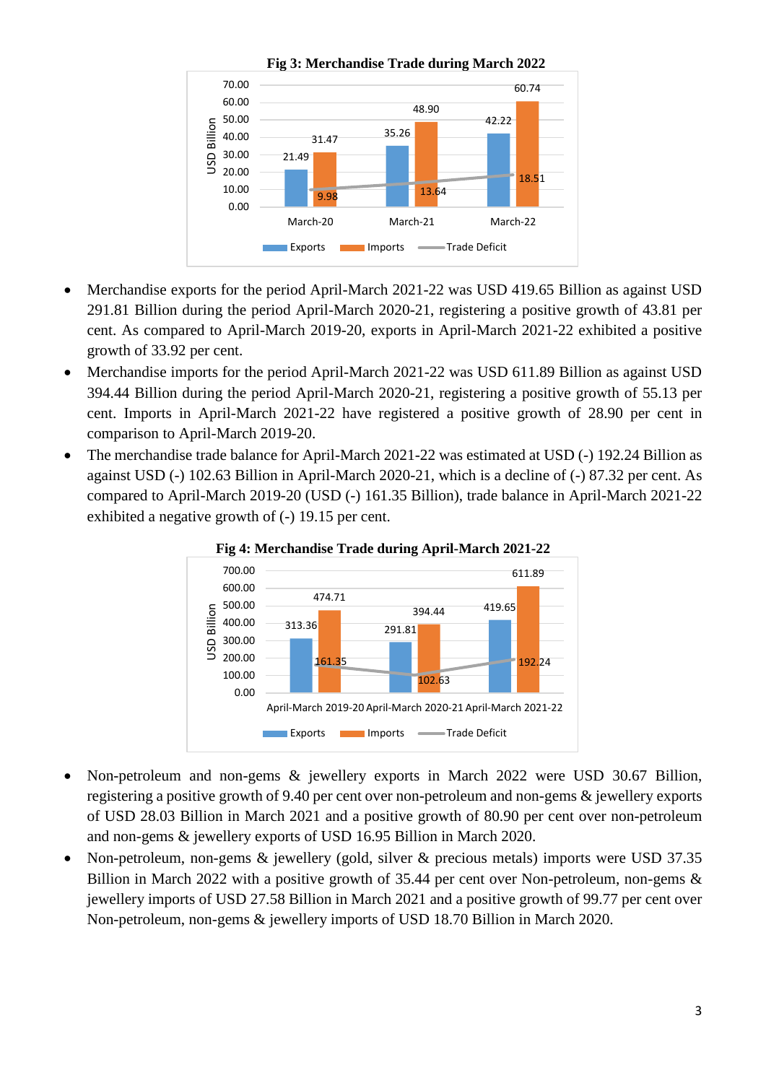

- Merchandise exports for the period April-March 2021-22 was USD 419.65 Billion as against USD 291.81 Billion during the period April-March 2020-21, registering a positive growth of 43.81 per cent. As compared to April-March 2019-20, exports in April-March 2021-22 exhibited a positive growth of 33.92 per cent.
- Merchandise imports for the period April-March 2021-22 was USD 611.89 Billion as against USD 394.44 Billion during the period April-March 2020-21, registering a positive growth of 55.13 per cent. Imports in April-March 2021-22 have registered a positive growth of 28.90 per cent in comparison to April-March 2019-20.
- The merchandise trade balance for April-March 2021-22 was estimated at USD (-) 192.24 Billion as against USD (-) 102.63 Billion in April-March 2020-21, which is a decline of (-) 87.32 per cent. As compared to April-March 2019-20 (USD (-) 161.35 Billion), trade balance in April-March 2021-22 exhibited a negative growth of (-) 19.15 per cent.





- Non-petroleum and non-gems & jewellery exports in March 2022 were USD 30.67 Billion, registering a positive growth of 9.40 per cent over non-petroleum and non-gems & jewellery exports of USD 28.03 Billion in March 2021 and a positive growth of 80.90 per cent over non-petroleum and non-gems & jewellery exports of USD 16.95 Billion in March 2020.
- Non-petroleum, non-gems & jewellery (gold, silver & precious metals) imports were USD 37.35 Billion in March 2022 with a positive growth of 35.44 per cent over Non-petroleum, non-gems & jewellery imports of USD 27.58 Billion in March 2021 and a positive growth of 99.77 per cent over Non-petroleum, non-gems & jewellery imports of USD 18.70 Billion in March 2020.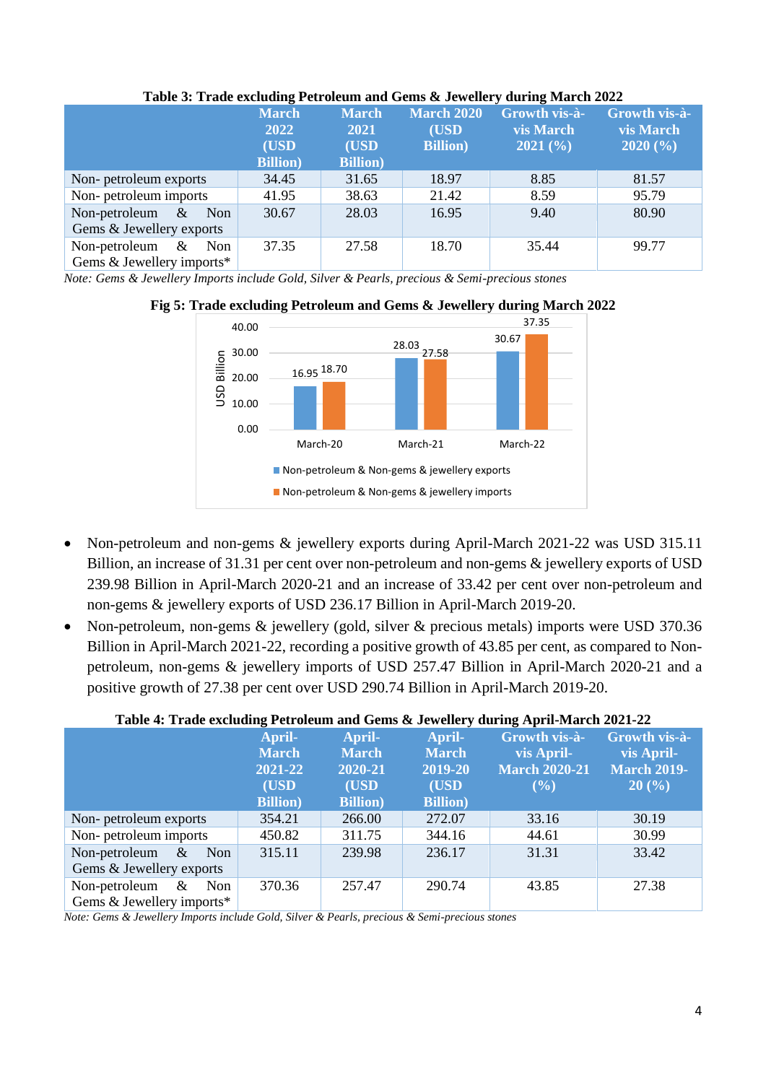| Table 5: Trade excluding I cu oleum and Gemb & Jewencry during march 2022 |                      |                             |                            |                                          |                            |  |
|---------------------------------------------------------------------------|----------------------|-----------------------------|----------------------------|------------------------------------------|----------------------------|--|
|                                                                           | <b>March</b><br>2022 | <b>March</b><br><b>2021</b> | <b>March 2020</b><br>(USD) | <b>Growth vis-à-</b><br><b>vis March</b> | Growth vis-à-<br>vis March |  |
|                                                                           | (USD                 | (USD)                       | <b>Billion</b> )           | 2021(%)                                  | 2020(%)                    |  |
|                                                                           | <b>Billion</b> )     | <b>Billion</b> )            |                            |                                          |                            |  |
| Non-petroleum exports                                                     | 34.45                | 31.65                       | 18.97                      | 8.85                                     | 81.57                      |  |
| Non-petroleum imports                                                     | 41.95                | 38.63                       | 21.42                      | 8.59                                     | 95.79                      |  |
| Non-petroleum $\&$<br>Non                                                 | 30.67                | 28.03                       | 16.95                      | 9.40                                     | 80.90                      |  |
| Gems & Jewellery exports                                                  |                      |                             |                            |                                          |                            |  |
| Non-petroleum $\&$<br>Non                                                 | 37.35                | 27.58                       | 18.70                      | 35.44                                    | 99.77                      |  |
| Gems & Jewellery imports*                                                 |                      |                             |                            |                                          |                            |  |

### **Table 3: Trade excluding Petroleum and Gems & Jewellery during March 2022**

*Note: Gems & Jewellery Imports include Gold, Silver & Pearls, precious & Semi-precious stones*



## **Fig 5: Trade excluding Petroleum and Gems & Jewellery during March 2022**

- Non-petroleum and non-gems & jewellery exports during April-March 2021-22 was USD 315.11 Billion, an increase of 31.31 per cent over non-petroleum and non-gems & jewellery exports of USD 239.98 Billion in April-March 2020-21 and an increase of 33.42 per cent over non-petroleum and non-gems & jewellery exports of USD 236.17 Billion in April-March 2019-20.
- Non-petroleum, non-gems & jewellery (gold, silver & precious metals) imports were USD 370.36 Billion in April-March 2021-22, recording a positive growth of 43.85 per cent, as compared to Nonpetroleum, non-gems & jewellery imports of USD 257.47 Billion in April-March 2020-21 and a positive growth of 27.38 per cent over USD 290.74 Billion in April-March 2019-20.

# **Table 4: Trade excluding Petroleum and Gems & Jewellery during April-March 2021-22**

|                              | April-           | April-           | April-           | Growth vis-à-        | Growth vis-à-      |
|------------------------------|------------------|------------------|------------------|----------------------|--------------------|
|                              | <b>March</b>     | <b>March</b>     | <b>March</b>     | vis April-           | vis April-         |
|                              | 2021-22          | 2020-21          | 2019-20          | <b>March 2020-21</b> | <b>March 2019-</b> |
|                              | (USD)            | (USD)            | (USD             | $($ %)               | 20(%)              |
|                              | <b>Billion</b> ) | <b>Billion</b> ) | <b>Billion</b> ) |                      |                    |
| Non-petroleum exports        | 354.21           | 266.00           | 272.07           | 33.16                | 30.19              |
| Non-petroleum imports        | 450.82           | 311.75           | 344.16           | 44.61                | 30.99              |
| Non-petroleum $\&$<br>Non    | 315.11           | 239.98           | 236.17           | 31.31                | 33.42              |
| Gems & Jewellery exports     |                  |                  |                  |                      |                    |
| Non-petroleum<br>$\&$<br>Non | 370.36           | 257.47           | 290.74           | 43.85                | 27.38              |
| Gems & Jewellery imports*    |                  |                  |                  |                      |                    |

*Note: Gems & Jewellery Imports include Gold, Silver & Pearls, precious & Semi-precious stones*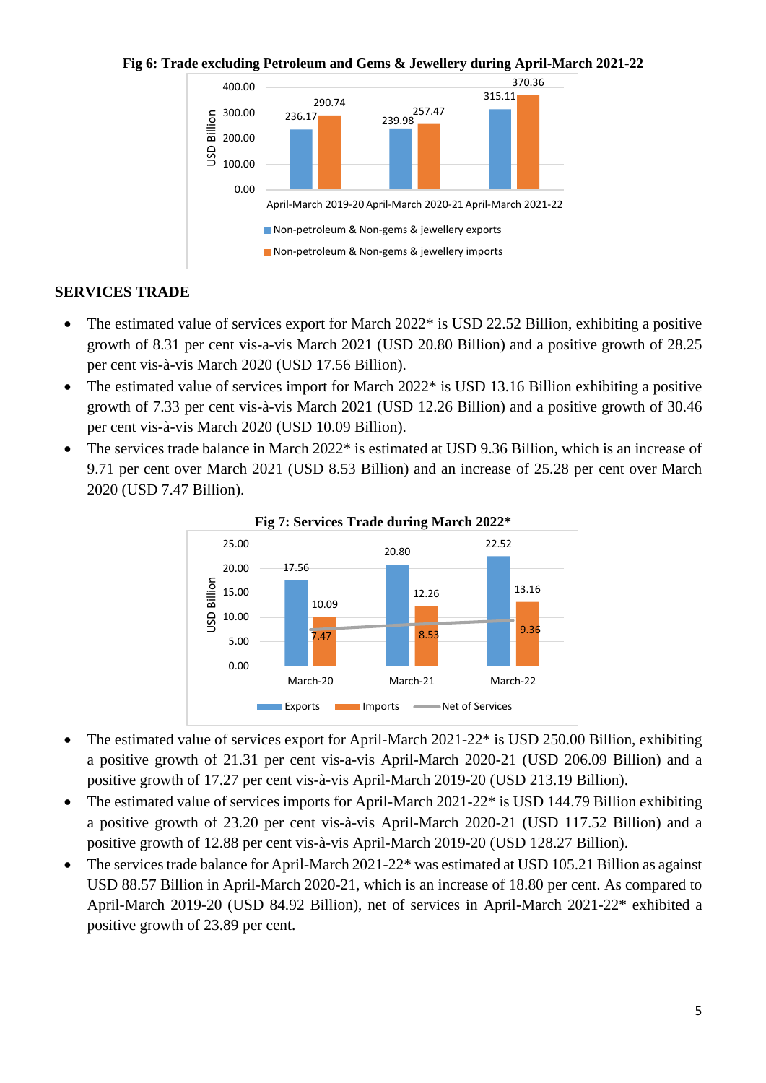**Fig 6: Trade excluding Petroleum and Gems & Jewellery during April-March 2021-22**



# **SERVICES TRADE**

- The estimated value of services export for March 2022<sup>\*</sup> is USD 22.52 Billion, exhibiting a positive growth of 8.31 per cent vis-a-vis March 2021 (USD 20.80 Billion) and a positive growth of 28.25 per cent vis-à-vis March 2020 (USD 17.56 Billion).
- The estimated value of services import for March 2022\* is USD 13.16 Billion exhibiting a positive growth of 7.33 per cent vis-à-vis March 2021 (USD 12.26 Billion) and a positive growth of 30.46 per cent vis-à-vis March 2020 (USD 10.09 Billion).
- The services trade balance in March 2022\* is estimated at USD 9.36 Billion, which is an increase of 9.71 per cent over March 2021 (USD 8.53 Billion) and an increase of 25.28 per cent over March 2020 (USD 7.47 Billion).





- The estimated value of services export for April-March 2021-22\* is USD 250.00 Billion, exhibiting a positive growth of 21.31 per cent vis-a-vis April-March 2020-21 (USD 206.09 Billion) and a positive growth of 17.27 per cent vis-à-vis April-March 2019-20 (USD 213.19 Billion).
- The estimated value of services imports for April-March 2021-22\* is USD 144.79 Billion exhibiting a positive growth of 23.20 per cent vis-à-vis April-March 2020-21 (USD 117.52 Billion) and a positive growth of 12.88 per cent vis-à-vis April-March 2019-20 (USD 128.27 Billion).
- The services trade balance for April-March 2021-22\* was estimated at USD 105.21 Billion as against USD 88.57 Billion in April-March 2020-21, which is an increase of 18.80 per cent. As compared to April-March 2019-20 (USD 84.92 Billion), net of services in April-March 2021-22\* exhibited a positive growth of 23.89 per cent.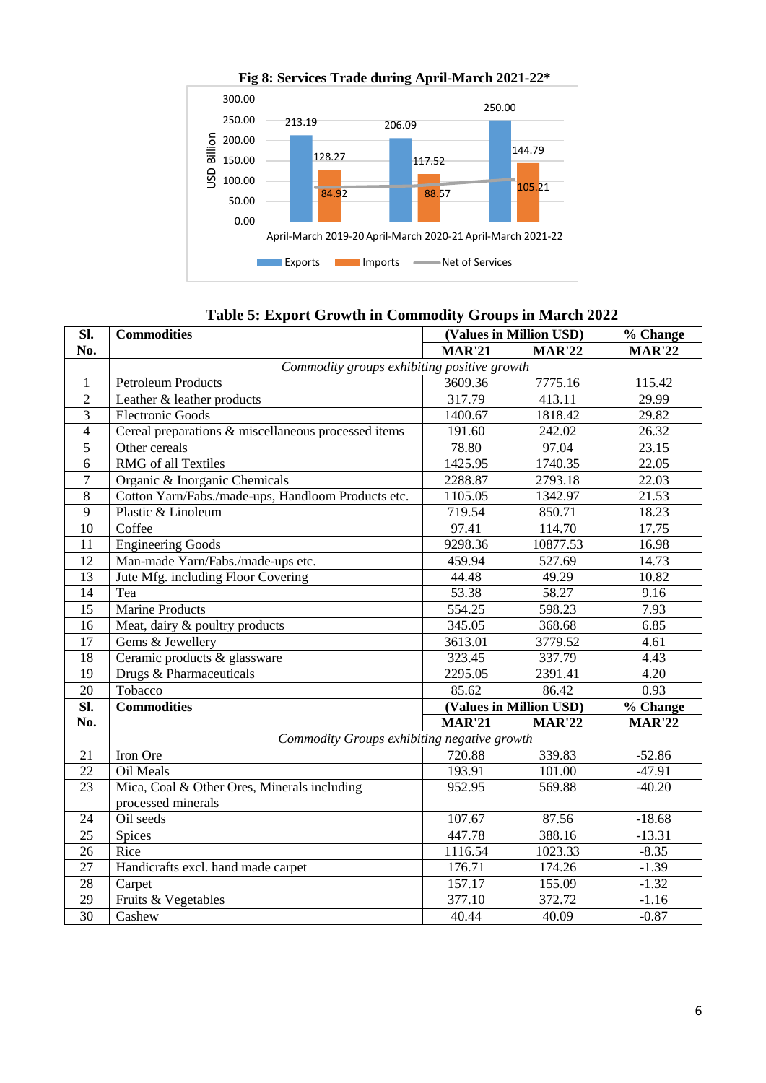

**Fig 8: Services Trade during April-March 2021-22\***

# **Table 5: Export Growth in Commodity Groups in March 2022**

| SI.             | <b>Commodities</b>                                  | (Values in Million USD) |               | % Change      |  |  |  |  |
|-----------------|-----------------------------------------------------|-------------------------|---------------|---------------|--|--|--|--|
| No.             |                                                     | <b>MAR'21</b>           | <b>MAR'22</b> | <b>MAR'22</b> |  |  |  |  |
|                 | Commodity groups exhibiting positive growth         |                         |               |               |  |  |  |  |
| 1               | <b>Petroleum Products</b>                           | 3609.36                 | 7775.16       | 115.42        |  |  |  |  |
| $\overline{2}$  | Leather & leather products                          | 317.79                  | 413.11        | 29.99         |  |  |  |  |
| 3               | <b>Electronic Goods</b>                             | 1400.67                 | 1818.42       | 29.82         |  |  |  |  |
| $\overline{4}$  | Cereal preparations & miscellaneous processed items | 191.60                  | 242.02        | 26.32         |  |  |  |  |
| 5               | Other cereals                                       | 78.80                   | 97.04         | 23.15         |  |  |  |  |
| 6               | RMG of all Textiles                                 | 1425.95                 | 1740.35       | 22.05         |  |  |  |  |
| 7               | Organic & Inorganic Chemicals                       | 2288.87                 | 2793.18       | 22.03         |  |  |  |  |
| 8               | Cotton Yarn/Fabs./made-ups, Handloom Products etc.  | 1105.05                 | 1342.97       | 21.53         |  |  |  |  |
| 9               | Plastic & Linoleum                                  | 719.54                  | 850.71        | 18.23         |  |  |  |  |
| 10              | Coffee                                              | 97.41                   | 114.70        | 17.75         |  |  |  |  |
| 11              | <b>Engineering Goods</b>                            | 9298.36                 | 10877.53      | 16.98         |  |  |  |  |
| 12              | Man-made Yarn/Fabs./made-ups etc.                   | 459.94                  | 527.69        | 14.73         |  |  |  |  |
| 13              | Jute Mfg. including Floor Covering                  | 44.48                   | 49.29         | 10.82         |  |  |  |  |
| 14              | Tea                                                 | 53.38                   | 58.27         | 9.16          |  |  |  |  |
| 15              | Marine Products                                     | 554.25                  | 598.23        | 7.93          |  |  |  |  |
| 16              | Meat, dairy & poultry products                      | 345.05                  | 368.68        | 6.85          |  |  |  |  |
| 17              | Gems & Jewellery                                    | 3613.01                 | 3779.52       | 4.61          |  |  |  |  |
| 18              | Ceramic products & glassware                        | 323.45                  | 337.79        | 4.43          |  |  |  |  |
| 19              | Drugs & Pharmaceuticals                             | 2295.05                 | 2391.41       | 4.20          |  |  |  |  |
| 20              | Tobacco                                             | 85.62                   | 86.42         | 0.93          |  |  |  |  |
| SI.             | <b>Commodities</b>                                  | (Values in Million USD) |               | % Change      |  |  |  |  |
| No.             |                                                     | MAR'21                  | <b>MAR'22</b> | <b>MAR'22</b> |  |  |  |  |
|                 | Commodity Groups exhibiting negative growth         |                         |               |               |  |  |  |  |
| 21              | Iron Ore                                            | 720.88                  | 339.83        | $-52.86$      |  |  |  |  |
| 22              | Oil Meals                                           | 193.91                  | 101.00        | $-47.91$      |  |  |  |  |
| 23              | Mica, Coal & Other Ores, Minerals including         | 952.95                  | 569.88        | $-40.20$      |  |  |  |  |
|                 | processed minerals                                  |                         |               |               |  |  |  |  |
| 24              | Oil seeds                                           | 107.67                  | 87.56         | $-18.68$      |  |  |  |  |
| 25              | Spices                                              | 447.78                  | 388.16        | $-13.31$      |  |  |  |  |
| 26              | Rice                                                | 1116.54                 | 1023.33       | $-8.35$       |  |  |  |  |
| 27              | Handicrafts excl. hand made carpet                  | 176.71                  | 174.26        | $-1.39$       |  |  |  |  |
| 28              | Carpet                                              | 157.17                  | 155.09        | $-1.32$       |  |  |  |  |
| 29              | Fruits & Vegetables                                 | 377.10                  | 372.72        | $-1.16$       |  |  |  |  |
| $\overline{30}$ | Cashew                                              | 40.44                   | 40.09         | $-0.87$       |  |  |  |  |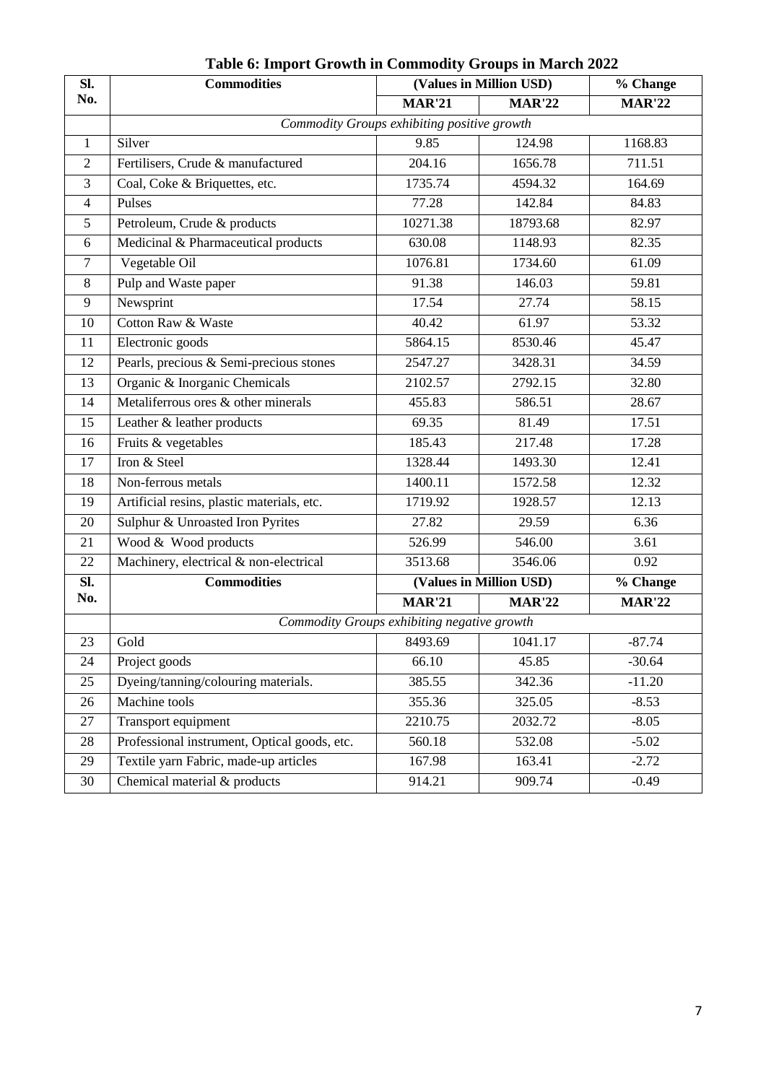| Sl.            | <b>Commodities</b>                           | (Values in Million USD) |                         | % Change      |  |  |  |
|----------------|----------------------------------------------|-------------------------|-------------------------|---------------|--|--|--|
| No.            |                                              | <b>MAR'21</b>           | <b>MAR'22</b>           | <b>MAR'22</b> |  |  |  |
|                | Commodity Groups exhibiting positive growth  |                         |                         |               |  |  |  |
| $\mathbf{1}$   | Silver                                       | 9.85                    | 124.98                  | 1168.83       |  |  |  |
| 2              | Fertilisers, Crude & manufactured            | 204.16                  | 1656.78                 | 711.51        |  |  |  |
| 3              | Coal, Coke & Briquettes, etc.                | 1735.74                 | 4594.32                 | 164.69        |  |  |  |
| $\overline{4}$ | Pulses                                       | 77.28                   | 142.84                  | 84.83         |  |  |  |
| 5              | Petroleum, Crude & products                  | 10271.38                | 18793.68                | 82.97         |  |  |  |
| 6              | Medicinal & Pharmaceutical products          | 630.08                  | 1148.93                 | 82.35         |  |  |  |
| $\overline{7}$ | Vegetable Oil                                | 1076.81                 | 1734.60                 | 61.09         |  |  |  |
| 8              | Pulp and Waste paper                         | 91.38                   | 146.03                  | 59.81         |  |  |  |
| 9              | Newsprint                                    | 17.54                   | 27.74                   | 58.15         |  |  |  |
| 10             | Cotton Raw & Waste                           | 40.42                   | 61.97                   | 53.32         |  |  |  |
| 11             | Electronic goods                             | 5864.15                 | 8530.46                 | 45.47         |  |  |  |
| 12             | Pearls, precious & Semi-precious stones      | 2547.27                 | 3428.31                 | 34.59         |  |  |  |
| 13             | Organic & Inorganic Chemicals                | 2102.57                 | 2792.15                 | 32.80         |  |  |  |
| 14             | Metaliferrous ores & other minerals          | 455.83                  | 586.51                  | 28.67         |  |  |  |
| 15             | Leather & leather products                   | 69.35                   | 81.49                   | 17.51         |  |  |  |
| 16             | Fruits & vegetables                          | 185.43                  | 217.48                  | 17.28         |  |  |  |
| 17             | Iron & Steel                                 | 1328.44                 | 1493.30                 | 12.41         |  |  |  |
| 18             | Non-ferrous metals                           | 1400.11                 | 1572.58                 | 12.32         |  |  |  |
| 19             | Artificial resins, plastic materials, etc.   | 1719.92                 | 1928.57                 | 12.13         |  |  |  |
| 20             | Sulphur & Unroasted Iron Pyrites             | 27.82                   | 29.59                   | 6.36          |  |  |  |
| 21             | Wood & Wood products                         | 526.99                  | 546.00                  | 3.61          |  |  |  |
| 22             | Machinery, electrical & non-electrical       | 3513.68                 | 3546.06                 | 0.92          |  |  |  |
| Sl.            | <b>Commodities</b>                           |                         | (Values in Million USD) | % Change      |  |  |  |
| No.            |                                              | <b>MAR'21</b>           | <b>MAR'22</b>           | <b>MAR'22</b> |  |  |  |
|                | Commodity Groups exhibiting negative growth  |                         |                         |               |  |  |  |
| 23             | Gold                                         | 8493.69                 | 1041.17                 | $-87.74$      |  |  |  |
| 24             | Project goods                                | 66.10                   | 45.85                   | $-30.64$      |  |  |  |
| 25             | Dyeing/tanning/colouring materials.          | 385.55                  | 342.36                  | $-11.20$      |  |  |  |
| 26             | Machine tools                                | 355.36                  | 325.05                  | $-8.53$       |  |  |  |
| 27             | Transport equipment                          | 2210.75                 | 2032.72                 | $-8.05$       |  |  |  |
| 28             | Professional instrument, Optical goods, etc. | 560.18                  | 532.08                  | $-5.02$       |  |  |  |
| 29             | Textile yarn Fabric, made-up articles        | 167.98                  | 163.41                  | $-2.72$       |  |  |  |
| 30             | Chemical material & products                 | 914.21                  | 909.74                  | $-0.49$       |  |  |  |

**Table 6: Import Growth in Commodity Groups in March 2022**